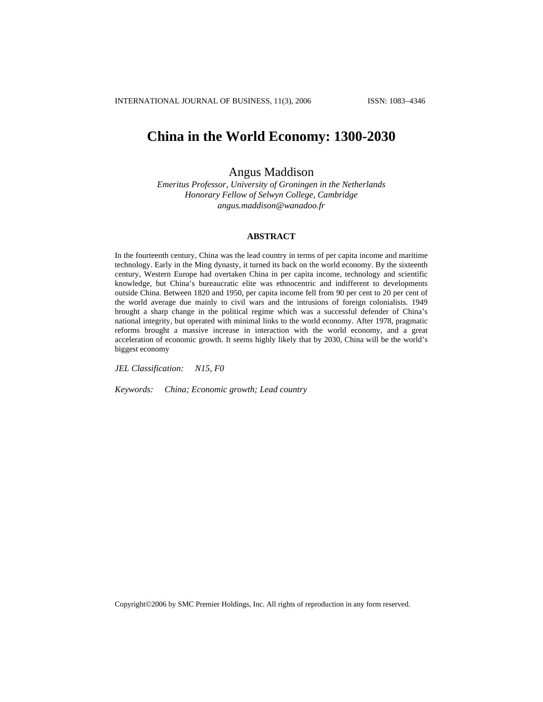# **China in the World Economy: 1300-2030**

Angus Maddison

*Emeritus Professor, University of Groningen in the Netherlands Honorary Fellow of Selwyn College, Cambridge angus.maddison@wanadoo.fr*

#### **ABSTRACT**

In the fourteenth century, China was the lead country in terms of per capita income and maritime technology. Early in the Ming dynasty, it turned its back on the world economy. By the sixteenth century, Western Europe had overtaken China in per capita income, technology and scientific knowledge, but China's bureaucratic elite was ethnocentric and indifferent to developments outside China. Between 1820 and 1950, per capita income fell from 90 per cent to 20 per cent of the world average due mainly to civil wars and the intrusions of foreign colonialists. 1949 brought a sharp change in the political regime which was a successful defender of China's national integrity, but operated with minimal links to the world economy. After 1978, pragmatic reforms brought a massive increase in interaction with the world economy, and a great acceleration of economic growth. It seems highly likely that by 2030, China will be the world's biggest economy

*JEL Classification: N15, F0*

*Keywords: China; Economic growth; Lead country*

Copyright©2006 by SMC Premier Holdings, Inc. All rights of reproduction in any form reserved.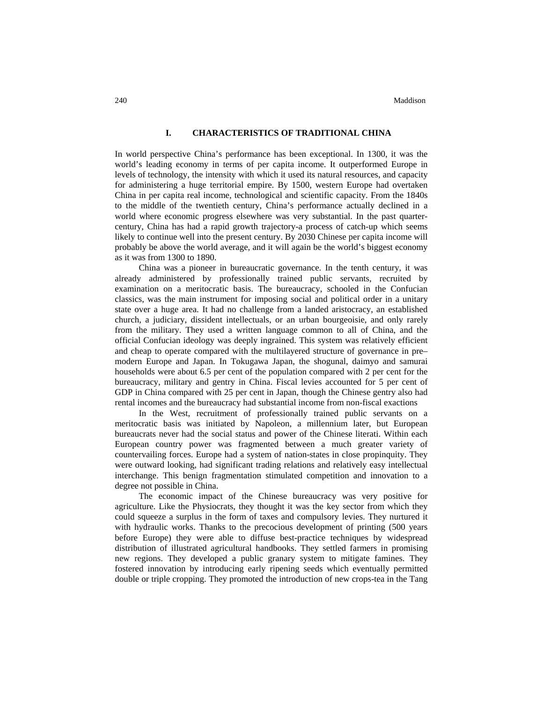#### **I. CHARACTERISTICS OF TRADITIONAL CHINA**

In world perspective China's performance has been exceptional. In 1300, it was the world's leading economy in terms of per capita income. It outperformed Europe in levels of technology, the intensity with which it used its natural resources, and capacity for administering a huge territorial empire. By 1500, western Europe had overtaken China in per capita real income, technological and scientific capacity. From the 1840s to the middle of the twentieth century, China's performance actually declined in a world where economic progress elsewhere was very substantial. In the past quartercentury, China has had a rapid growth trajectory-a process of catch-up which seems likely to continue well into the present century. By 2030 Chinese per capita income will probably be above the world average, and it will again be the world's biggest economy as it was from 1300 to 1890.

China was a pioneer in bureaucratic governance. In the tenth century, it was already administered by professionally trained public servants, recruited by examination on a meritocratic basis. The bureaucracy, schooled in the Confucian classics, was the main instrument for imposing social and political order in a unitary state over a huge area. It had no challenge from a landed aristocracy, an established church, a judiciary, dissident intellectuals, or an urban bourgeoisie, and only rarely from the military. They used a written language common to all of China, and the official Confucian ideology was deeply ingrained. This system was relatively efficient and cheap to operate compared with the multilayered structure of governance in pre– modern Europe and Japan. In Tokugawa Japan, the shogunal, daimyo and samurai households were about 6.5 per cent of the population compared with 2 per cent for the bureaucracy, military and gentry in China. Fiscal levies accounted for 5 per cent of GDP in China compared with 25 per cent in Japan, though the Chinese gentry also had rental incomes and the bureaucracy had substantial income from non-fiscal exactions

In the West, recruitment of professionally trained public servants on a meritocratic basis was initiated by Napoleon, a millennium later, but European bureaucrats never had the social status and power of the Chinese literati. Within each European country power was fragmented between a much greater variety of countervailing forces. Europe had a system of nation-states in close propinquity. They were outward looking, had significant trading relations and relatively easy intellectual interchange. This benign fragmentation stimulated competition and innovation to a degree not possible in China.

The economic impact of the Chinese bureaucracy was very positive for agriculture. Like the Physiocrats, they thought it was the key sector from which they could squeeze a surplus in the form of taxes and compulsory levies. They nurtured it with hydraulic works. Thanks to the precocious development of printing (500 years before Europe) they were able to diffuse best-practice techniques by widespread distribution of illustrated agricultural handbooks. They settled farmers in promising new regions. They developed a public granary system to mitigate famines. They fostered innovation by introducing early ripening seeds which eventually permitted double or triple cropping. They promoted the introduction of new crops-tea in the Tang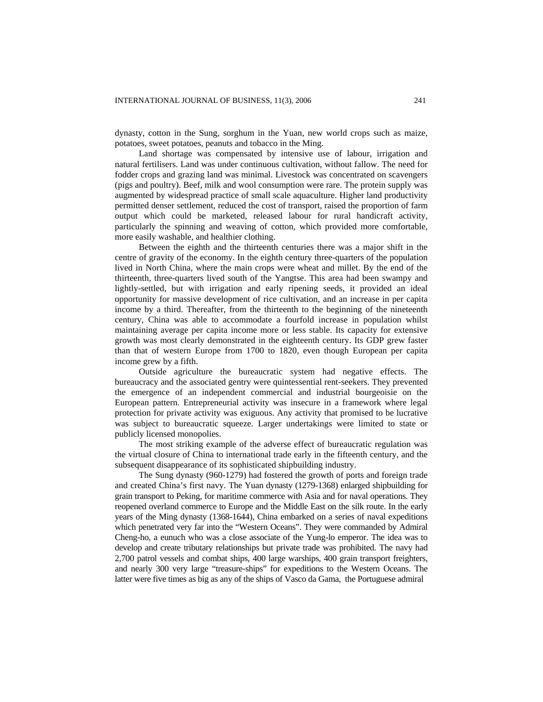dynasty, cotton in the Sung, sorghum in the Yuan, new world crops such as maize, potatoes, sweet potatoes, peanuts and tobacco in the Ming.

Land shortage was compensated by intensive use of labour, irrigation and natural fertilisers. Land was under continuous cultivation, without fallow. The need for fodder crops and grazing land was minimal. Livestock was concentrated on scavengers (pigs and poultry). Beef, milk and wool consumption were rare. The protein supply was augmented by widespread practice of small scale aquaculture. Higher land productivity permitted denser settlement, reduced the cost of transport, raised the proportion of farm output which could be marketed, released labour for rural handicraft activity, particularly the spinning and weaving of cotton, which provided more comfortable, more easily washable, and healthier clothing.

Between the eighth and the thirteenth centuries there was a major shift in the centre of gravity of the economy. In the eighth century three-quarters of the population lived in North China, where the main crops were wheat and millet. By the end of the thirteenth, three-quarters lived south of the Yangtse. This area had been swampy and lightly-settled, but with irrigation and early ripening seeds, it provided an ideal opportunity for massive development of rice cultivation, and an increase in per capita income by a third. Thereafter, from the thirteenth to the beginning of the nineteenth century, China was able to accommodate a fourfold increase in population whilst maintaining average per capita income more or less stable. Its capacity for extensive growth was most clearly demonstrated in the eighteenth century. Its GDP grew faster than that of western Europe from 1700 to 1820, even though European per capita income grew by a fifth.

Outside agriculture the bureaucratic system had negative effects. The bureaucracy and the associated gentry were quintessential rent-seekers. They prevented the emergence of an independent commercial and industrial bourgeoisie on the European pattern. Entrepreneurial activity was insecure in a framework where legal protection for private activity was exiguous. Any activity that promised to be lucrative was subject to bureaucratic squeeze. Larger undertakings were limited to state or publicly licensed monopolies.

The most striking example of the adverse effect of bureaucratic regulation was the virtual closure of China to international trade early in the fifteenth century, and the subsequent disappearance of its sophisticated shipbuilding industry.

The Sung dynasty (960-1279) had fostered the growth of ports and foreign trade and created China's first navy. The Yuan dynasty (1279-1368) enlarged shipbuilding for grain transport to Peking, for maritime commerce with Asia and for naval operations. They reopened overland commerce to Europe and the Middle East on the silk route. In the early years of the Ming dynasty (1368-1644), China embarked on a series of naval expeditions which penetrated very far into the "Western Oceans". They were commanded by Admiral Cheng-ho, a eunuch who was a close associate of the Yung-lo emperor. The idea was to develop and create tributary relationships but private trade was prohibited. The navy had 2,700 patrol vessels and combat ships, 400 large warships, 400 grain transport freighters, and nearly 300 very large "treasure-ships" for expeditions to the Western Oceans. The latter were five times as big as any of the ships of Vasco da Gama, the Portuguese admiral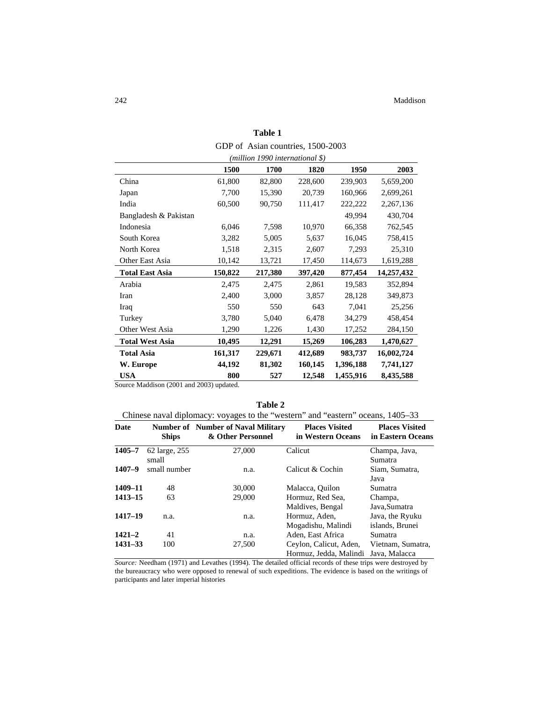|                        | (million 1990 international \$) |         |         |           |            |  |
|------------------------|---------------------------------|---------|---------|-----------|------------|--|
|                        | 1500                            | 1700    | 1820    | 1950      | 2003       |  |
| China                  | 61,800                          | 82,800  | 228,600 | 239,903   | 5,659,200  |  |
| Japan                  | 7,700                           | 15,390  | 20,739  | 160,966   | 2,699,261  |  |
| India                  | 60,500                          | 90,750  | 111,417 | 222,222   | 2,267,136  |  |
| Bangladesh & Pakistan  |                                 |         |         | 49,994    | 430,704    |  |
| Indonesia              | 6,046                           | 7,598   | 10,970  | 66,358    | 762,545    |  |
| South Korea            | 3,282                           | 5,005   | 5,637   | 16,045    | 758,415    |  |
| North Korea            | 1,518                           | 2,315   | 2,607   | 7,293     | 25,310     |  |
| Other East Asia        | 10,142                          | 13,721  | 17,450  | 114,673   | 1,619,288  |  |
| <b>Total East Asia</b> | 150,822                         | 217,380 | 397,420 | 877,454   | 14,257,432 |  |
| Arabia                 | 2,475                           | 2,475   | 2,861   | 19,583    | 352,894    |  |
| Iran                   | 2,400                           | 3,000   | 3,857   | 28,128    | 349,873    |  |
| Iraq                   | 550                             | 550     | 643     | 7,041     | 25,256     |  |
| Turkey                 | 3,780                           | 5,040   | 6,478   | 34,279    | 458,454    |  |
| Other West Asia        | 1,290                           | 1,226   | 1,430   | 17,252    | 284,150    |  |
| <b>Total West Asia</b> | 10,495                          | 12,291  | 15,269  | 106,283   | 1,470,627  |  |
| <b>Total Asia</b>      | 161,317                         | 229,671 | 412,689 | 983,737   | 16,002,724 |  |
| W. Europe              | 44,192                          | 81,302  | 160,145 | 1,396,188 | 7,741,127  |  |
| <b>USA</b>             | 800                             | 527     | 12,548  | 1,455,916 | 8,435,588  |  |

**Table 1**  GDP of Asian countries, 1500-2003

Source Maddison (2001 and 2003) updated.

|             |                        |                                                                | <b>Places Visited</b>                            | Chinese naval diplomacy: voyages to the "western" and "eastern" oceans, 1405–33<br><b>Places Visited</b> |  |
|-------------|------------------------|----------------------------------------------------------------|--------------------------------------------------|----------------------------------------------------------------------------------------------------------|--|
| Date        | <b>Ships</b>           | <b>Number of Number of Naval Military</b><br>& Other Personnel | in Western Oceans                                | in Eastern Oceans                                                                                        |  |
| $1405 - 7$  | 62 large, 255<br>small | 27,000                                                         | Calicut                                          | Champa, Java,<br>Sumatra                                                                                 |  |
| $1407 - 9$  | small number           | n.a.                                                           | Calicut & Cochin                                 | Siam, Sumatra,<br>Java                                                                                   |  |
| 1409-11     | 48                     | 30,000                                                         | Malacca, Quilon                                  | Sumatra                                                                                                  |  |
| 1413-15     | 63                     | 29,000                                                         | Hormuz, Red Sea,<br>Maldives, Bengal             | Champa,<br>Java, Sumatra                                                                                 |  |
| 1417-19     | n.a.                   | n.a.                                                           | Hormuz, Aden,<br>Mogadishu, Malindi              | Java, the Ryuku<br>islands, Brunei                                                                       |  |
| $1421 - 2$  | 41                     | n.a.                                                           | Aden, East Africa                                | Sumatra                                                                                                  |  |
| $1431 - 33$ | 100                    | 27,500                                                         | Ceylon, Calicut, Aden,<br>Hormuz, Jedda, Malindi | Vietnam, Sumatra,<br>Java, Malacca                                                                       |  |

**Table 2** 

*Source:* Needham (1971) and Levathes (1994). The detailed official records of these trips were destroyed by the bureaucracy who were opposed to renewal of such expeditions. The evidence is based on the writings of participants and later imperial histories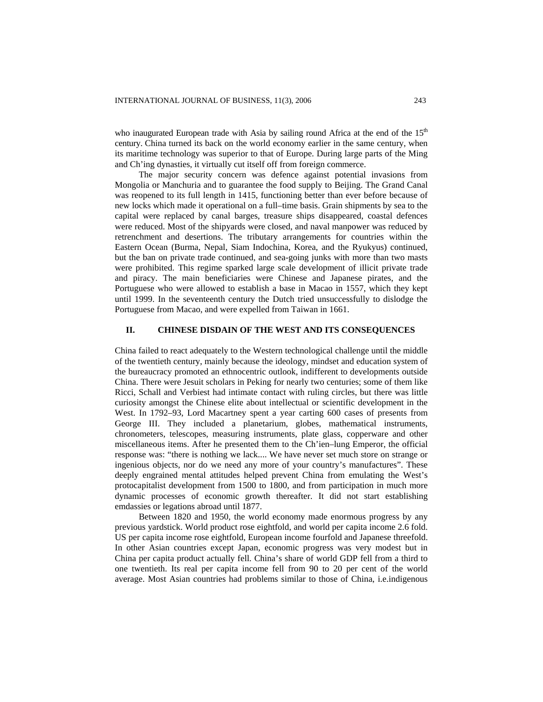who inaugurated European trade with Asia by sailing round Africa at the end of the  $15<sup>th</sup>$ century. China turned its back on the world economy earlier in the same century, when its maritime technology was superior to that of Europe. During large parts of the Ming and Ch'ing dynasties, it virtually cut itself off from foreign commerce.

The major security concern was defence against potential invasions from Mongolia or Manchuria and to guarantee the food supply to Beijing. The Grand Canal was reopened to its full length in 1415, functioning better than ever before because of new locks which made it operational on a full–time basis. Grain shipments by sea to the capital were replaced by canal barges, treasure ships disappeared, coastal defences were reduced. Most of the shipyards were closed, and naval manpower was reduced by retrenchment and desertions. The tributary arrangements for countries within the Eastern Ocean (Burma, Nepal, Siam Indochina, Korea, and the Ryukyus) continued, but the ban on private trade continued, and sea-going junks with more than two masts were prohibited. This regime sparked large scale development of illicit private trade and piracy. The main beneficiaries were Chinese and Japanese pirates, and the Portuguese who were allowed to establish a base in Macao in 1557, which they kept until 1999. In the seventeenth century the Dutch tried unsuccessfully to dislodge the Portuguese from Macao, and were expelled from Taiwan in 1661.

#### **II. CHINESE DISDAIN OF THE WEST AND ITS CONSEQUENCES**

China failed to react adequately to the Western technological challenge until the middle of the twentieth century, mainly because the ideology, mindset and education system of the bureaucracy promoted an ethnocentric outlook, indifferent to developments outside China. There were Jesuit scholars in Peking for nearly two centuries; some of them like Ricci, Schall and Verbiest had intimate contact with ruling circles, but there was little curiosity amongst the Chinese elite about intellectual or scientific development in the West. In 1792–93, Lord Macartney spent a year carting 600 cases of presents from George III. They included a planetarium, globes, mathematical instruments, chronometers, telescopes, measuring instruments, plate glass, copperware and other miscellaneous items. After he presented them to the Ch'ien–lung Emperor, the official response was: "there is nothing we lack.... We have never set much store on strange or ingenious objects, nor do we need any more of your country's manufactures". These deeply engrained mental attitudes helped prevent China from emulating the West's protocapitalist development from 1500 to 1800, and from participation in much more dynamic processes of economic growth thereafter. It did not start establishing emdassies or legations abroad until 1877.

Between 1820 and 1950, the world economy made enormous progress by any previous yardstick. World product rose eightfold, and world per capita income 2.6 fold. US per capita income rose eightfold, European income fourfold and Japanese threefold. In other Asian countries except Japan, economic progress was very modest but in China per capita product actually fell. China's share of world GDP fell from a third to one twentieth. Its real per capita income fell from 90 to 20 per cent of the world average. Most Asian countries had problems similar to those of China, i.e.indigenous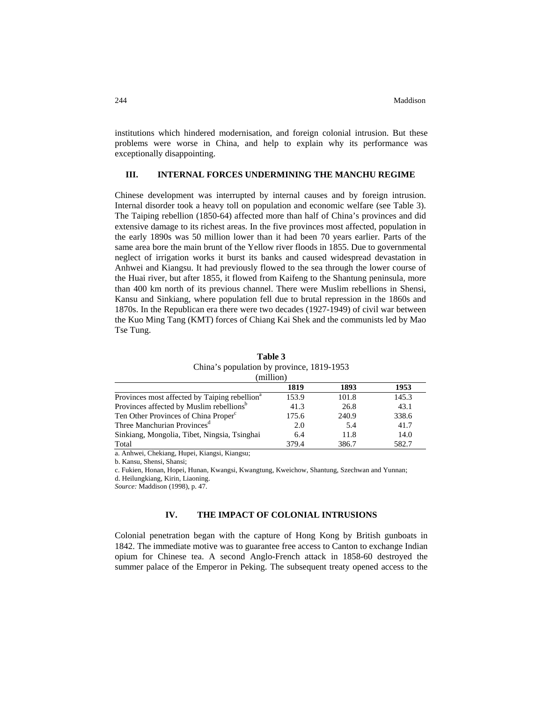institutions which hindered modernisation, and foreign colonial intrusion. But these problems were worse in China, and help to explain why its performance was exceptionally disappointing.

# **III. INTERNAL FORCES UNDERMINING THE MANCHU REGIME**

Chinese development was interrupted by internal causes and by foreign intrusion. Internal disorder took a heavy toll on population and economic welfare (see Table 3). The Taiping rebellion (1850-64) affected more than half of China's provinces and did extensive damage to its richest areas. In the five provinces most affected, population in the early 1890s was 50 million lower than it had been 70 years earlier. Parts of the same area bore the main brunt of the Yellow river floods in 1855. Due to governmental neglect of irrigation works it burst its banks and caused widespread devastation in Anhwei and Kiangsu. It had previously flowed to the sea through the lower course of the Huai river, but after 1855, it flowed from Kaifeng to the Shantung peninsula, more than 400 km north of its previous channel. There were Muslim rebellions in Shensi, Kansu and Sinkiang, where population fell due to brutal repression in the 1860s and 1870s. In the Republican era there were two decades (1927-1949) of civil war between the Kuo Ming Tang (KMT) forces of Chiang Kai Shek and the communists led by Mao Tse Tung.

| (million)                                                 |       |       |       |  |  |  |
|-----------------------------------------------------------|-------|-------|-------|--|--|--|
|                                                           | 1819  | 1893  | 1953  |  |  |  |
| Provinces most affected by Taiping rebellion <sup>a</sup> | 153.9 | 101.8 | 145.3 |  |  |  |
| Provinces affected by Muslim rebellions <sup>b</sup>      | 41.3  | 26.8  | 43.1  |  |  |  |
| Ten Other Provinces of China Proper <sup>c</sup>          | 175.6 | 240.9 | 338.6 |  |  |  |
| Three Manchurian Provinces <sup>d</sup>                   | 2.0   | 5.4   | 41.7  |  |  |  |
| Sinkiang, Mongolia, Tibet, Ningsia, Tsinghai              | 6.4   | 11.8  | 14.0  |  |  |  |
| Total                                                     | 379.4 | 386.7 | 582.7 |  |  |  |

**Table 3**  China's population by province, 1819-1953

a. Anhwei, Chekiang, Hupei, Kiangsi, Kiangsu;

b. Kansu, Shensi, Shansi;

c. Fukien, Honan, Hopei, Hunan, Kwangsi, Kwangtung, Kweichow, Shantung, Szechwan and Yunnan;

d. Heilungkiang, Kirin, Liaoning.

*Source:* Maddison (1998), p. 47.

#### **IV. THE IMPACT OF COLONIAL INTRUSIONS**

Colonial penetration began with the capture of Hong Kong by British gunboats in 1842. The immediate motive was to guarantee free access to Canton to exchange Indian opium for Chinese tea. A second Anglo-French attack in 1858-60 destroyed the summer palace of the Emperor in Peking. The subsequent treaty opened access to the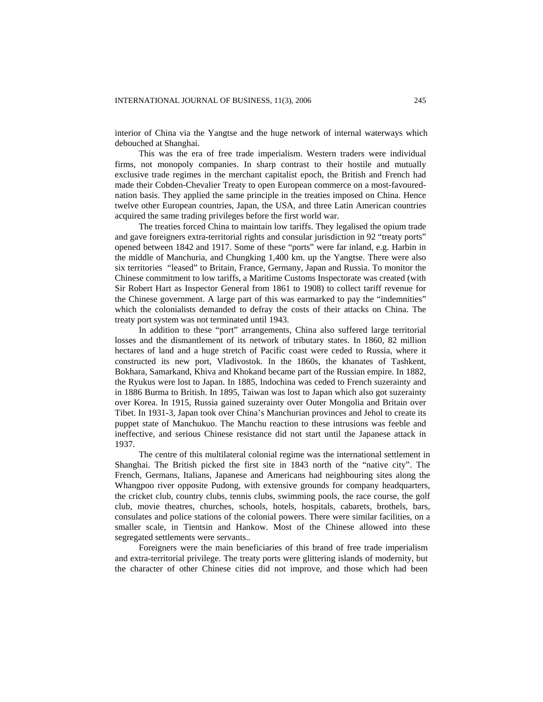interior of China via the Yangtse and the huge network of internal waterways which debouched at Shanghai.

This was the era of free trade imperialism. Western traders were individual firms, not monopoly companies. In sharp contrast to their hostile and mutually exclusive trade regimes in the merchant capitalist epoch, the British and French had made their Cobden-Chevalier Treaty to open European commerce on a most-favourednation basis. They applied the same principle in the treaties imposed on China. Hence twelve other European countries, Japan, the USA, and three Latin American countries acquired the same trading privileges before the first world war.

The treaties forced China to maintain low tariffs. They legalised the opium trade and gave foreigners extra-territorial rights and consular jurisdiction in 92 "treaty ports" opened between 1842 and 1917. Some of these "ports" were far inland, e.g. Harbin in the middle of Manchuria, and Chungking 1,400 km. up the Yangtse. There were also six territories "leased" to Britain, France, Germany, Japan and Russia. To monitor the Chinese commitment to low tariffs, a Maritime Customs Inspectorate was created (with Sir Robert Hart as Inspector General from 1861 to 1908) to collect tariff revenue for the Chinese government. A large part of this was earmarked to pay the "indemnities" which the colonialists demanded to defray the costs of their attacks on China. The treaty port system was not terminated until 1943.

In addition to these "port" arrangements, China also suffered large territorial losses and the dismantlement of its network of tributary states. In 1860, 82 million hectares of land and a huge stretch of Pacific coast were ceded to Russia, where it constructed its new port, Vladivostok. In the 1860s, the khanates of Tashkent, Bokhara, Samarkand, Khiva and Khokand became part of the Russian empire. In 1882, the Ryukus were lost to Japan. In 1885, Indochina was ceded to French suzerainty and in 1886 Burma to British. In 1895, Taiwan was lost to Japan which also got suzerainty over Korea. In 1915, Russia gained suzerainty over Outer Mongolia and Britain over Tibet. In 1931-3, Japan took over China's Manchurian provinces and Jehol to create its puppet state of Manchukuo. The Manchu reaction to these intrusions was feeble and ineffective, and serious Chinese resistance did not start until the Japanese attack in 1937.

The centre of this multilateral colonial regime was the international settlement in Shanghai. The British picked the first site in 1843 north of the "native city". The French, Germans, Italians, Japanese and Americans had neighbouring sites along the Whangpoo river opposite Pudong, with extensive grounds for company headquarters, the cricket club, country clubs, tennis clubs, swimming pools, the race course, the golf club, movie theatres, churches, schools, hotels, hospitals, cabarets, brothels, bars, consulates and police stations of the colonial powers. There were similar facilities, on a smaller scale, in Tientsin and Hankow. Most of the Chinese allowed into these segregated settlements were servants..

Foreigners were the main beneficiaries of this brand of free trade imperialism and extra-territorial privilege. The treaty ports were glittering islands of modernity, but the character of other Chinese cities did not improve, and those which had been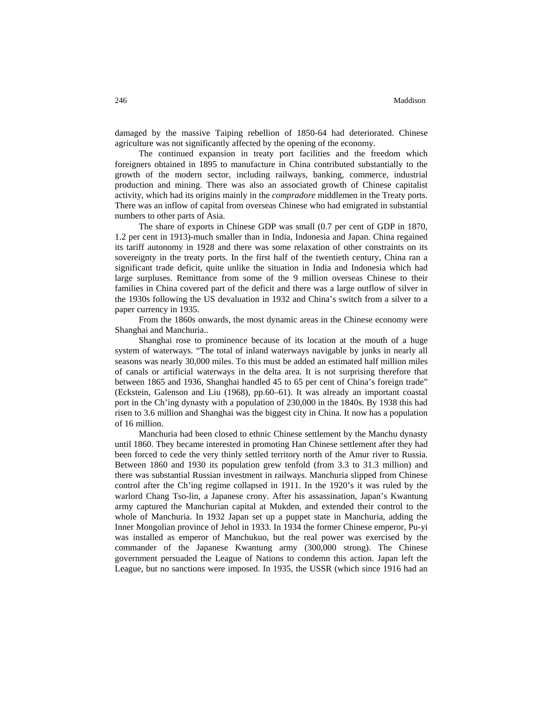damaged by the massive Taiping rebellion of 1850-64 had deteriorated. Chinese agriculture was not significantly affected by the opening of the economy.

The continued expansion in treaty port facilities and the freedom which foreigners obtained in 1895 to manufacture in China contributed substantially to the growth of the modern sector, including railways, banking, commerce, industrial production and mining. There was also an associated growth of Chinese capitalist activity, which had its origins mainly in the *compradore* middlemen in the Treaty ports. There was an inflow of capital from overseas Chinese who had emigrated in substantial numbers to other parts of Asia.

The share of exports in Chinese GDP was small (0.7 per cent of GDP in 1870, 1.2 per cent in 1913)-much smaller than in India, Indonesia and Japan. China regained its tariff autonomy in 1928 and there was some relaxation of other constraints on its sovereignty in the treaty ports. In the first half of the twentieth century, China ran a significant trade deficit, quite unlike the situation in India and Indonesia which had large surpluses. Remittance from some of the 9 million overseas Chinese to their families in China covered part of the deficit and there was a large outflow of silver in the 1930s following the US devaluation in 1932 and China's switch from a silver to a paper currency in 1935.

From the 1860s onwards, the most dynamic areas in the Chinese economy were Shanghai and Manchuria..

Shanghai rose to prominence because of its location at the mouth of a huge system of waterways. "The total of inland waterways navigable by junks in nearly all seasons was nearly 30,000 miles. To this must be added an estimated half million miles of canals or artificial waterways in the delta area. It is not surprising therefore that between 1865 and 1936, Shanghai handled 45 to 65 per cent of China's foreign trade" (Eckstein, Galenson and Liu (1968), pp.60–61). It was already an important coastal port in the Ch'ing dynasty with a population of 230,000 in the 1840s. By 1938 this had risen to 3.6 million and Shanghai was the biggest city in China. It now has a population of 16 million.

Manchuria had been closed to ethnic Chinese settlement by the Manchu dynasty until 1860. They became interested in promoting Han Chinese settlement after they had been forced to cede the very thinly settled territory north of the Amur river to Russia. Between 1860 and 1930 its population grew tenfold (from 3.3 to 31.3 million) and there was substantial Russian investment in railways. Manchuria slipped from Chinese control after the Ch'ing regime collapsed in 1911. In the 1920's it was ruled by the warlord Chang Tso-lin, a Japanese crony. After his assassination, Japan's Kwantung army captured the Manchurian capital at Mukden, and extended their control to the whole of Manchuria. In 1932 Japan set up a puppet state in Manchuria, adding the Inner Mongolian province of Jehol in 1933. In 1934 the former Chinese emperor, Pu-yi was installed as emperor of Manchukuo, but the real power was exercised by the commander of the Japanese Kwantung army (300,000 strong). The Chinese government persuaded the League of Nations to condemn this action. Japan left the League, but no sanctions were imposed. In 1935, the USSR (which since 1916 had an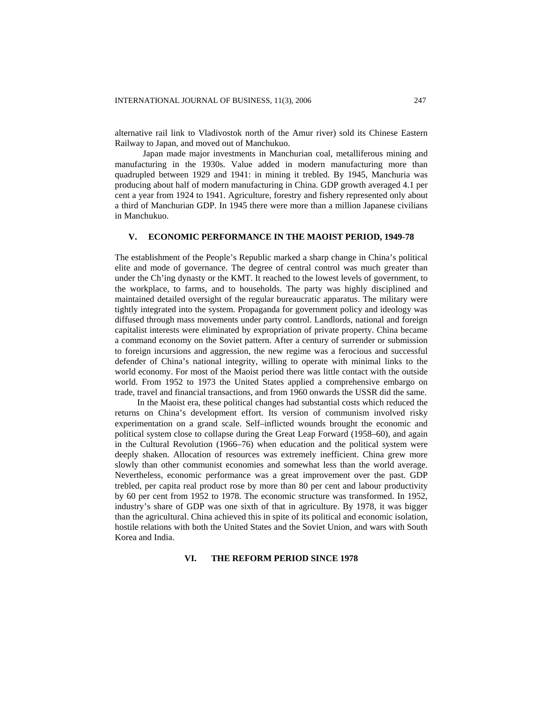alternative rail link to Vladivostok north of the Amur river) sold its Chinese Eastern Railway to Japan, and moved out of Manchukuo.

Japan made major investments in Manchurian coal, metalliferous mining and manufacturing in the 1930s. Value added in modern manufacturing more than quadrupled between 1929 and 1941: in mining it trebled. By 1945, Manchuria was producing about half of modern manufacturing in China. GDP growth averaged 4.1 per cent a year from 1924 to 1941. Agriculture, forestry and fishery represented only about a third of Manchurian GDP. In 1945 there were more than a million Japanese civilians in Manchukuo.

#### **V. ECONOMIC PERFORMANCE IN THE MAOIST PERIOD, 1949-78**

The establishment of the People's Republic marked a sharp change in China's political elite and mode of governance. The degree of central control was much greater than under the Ch'ing dynasty or the KMT. It reached to the lowest levels of government, to the workplace, to farms, and to households. The party was highly disciplined and maintained detailed oversight of the regular bureaucratic apparatus. The military were tightly integrated into the system. Propaganda for government policy and ideology was diffused through mass movements under party control. Landlords, national and foreign capitalist interests were eliminated by expropriation of private property. China became a command economy on the Soviet pattern. After a century of surrender or submission to foreign incursions and aggression, the new regime was a ferocious and successful defender of China's national integrity, willing to operate with minimal links to the world economy. For most of the Maoist period there was little contact with the outside world. From 1952 to 1973 the United States applied a comprehensive embargo on trade, travel and financial transactions, and from 1960 onwards the USSR did the same.

In the Maoist era, these political changes had substantial costs which reduced the returns on China's development effort. Its version of communism involved risky experimentation on a grand scale. Self–inflicted wounds brought the economic and political system close to collapse during the Great Leap Forward (1958–60), and again in the Cultural Revolution (1966–76) when education and the political system were deeply shaken. Allocation of resources was extremely inefficient. China grew more slowly than other communist economies and somewhat less than the world average. Nevertheless, economic performance was a great improvement over the past. GDP trebled, per capita real product rose by more than 80 per cent and labour productivity by 60 per cent from 1952 to 1978. The economic structure was transformed. In 1952, industry's share of GDP was one sixth of that in agriculture. By 1978, it was bigger than the agricultural. China achieved this in spite of its political and economic isolation, hostile relations with both the United States and the Soviet Union, and wars with South Korea and India.

## **VI. THE REFORM PERIOD SINCE 1978**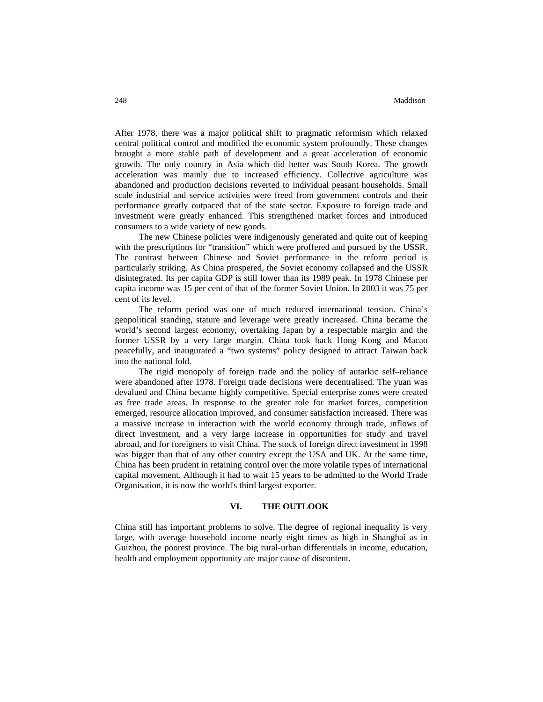After 1978, there was a major political shift to pragmatic reformism which relaxed central political control and modified the economic system profoundly. These changes brought a more stable path of development and a great acceleration of economic growth. The only country in Asia which did better was South Korea. The growth acceleration was mainly due to increased efficiency. Collective agriculture was abandoned and production decisions reverted to individual peasant households. Small scale industrial and service activities were freed from government controls and their performance greatly outpaced that of the state sector. Exposure to foreign trade and investment were greatly enhanced. This strengthened market forces and introduced consumers to a wide variety of new goods.

The new Chinese policies were indigenously generated and quite out of keeping with the prescriptions for "transition" which were proffered and pursued by the USSR. The contrast between Chinese and Soviet performance in the reform period is particularly striking. As China prospered, the Soviet economy collapsed and the USSR disintegrated. Its per capita GDP is still lower than its 1989 peak. In 1978 Chinese per capita income was 15 per cent of that of the former Soviet Union. In 2003 it was 75 per cent of its level.

The reform period was one of much reduced international tension. China's geopolitical standing, stature and leverage were greatly increased. China became the world's second largest economy, overtaking Japan by a respectable margin and the former USSR by a very large margin. China took back Hong Kong and Macao peacefully, and inaugurated a "two systems" policy designed to attract Taiwan back into the national fold.

The rigid monopoly of foreign trade and the policy of autarkic self–reliance were abandoned after 1978. Foreign trade decisions were decentralised. The yuan was devalued and China became highly competitive. Special enterprise zones were created as free trade areas. In response to the greater role for market forces, competition emerged, resource allocation improved, and consumer satisfaction increased. There was a massive increase in interaction with the world economy through trade, inflows of direct investment, and a very large increase in opportunities for study and travel abroad, and for foreigners to visit China. The stock of foreign direct investment in 1998 was bigger than that of any other country except the USA and UK. At the same time, China has been prudent in retaining control over the more volatile types of international capital movement. Although it had to wait 15 years to be admitted to the World Trade Organisation, it is now the world's third largest exporter.

### **VI. THE OUTLOOK**

China still has important problems to solve. The degree of regional inequality is very large, with average household income nearly eight times as high in Shanghai as in Guizhou, the poorest province. The big rural-urban differentials in income, education, health and employment opportunity are major cause of discontent.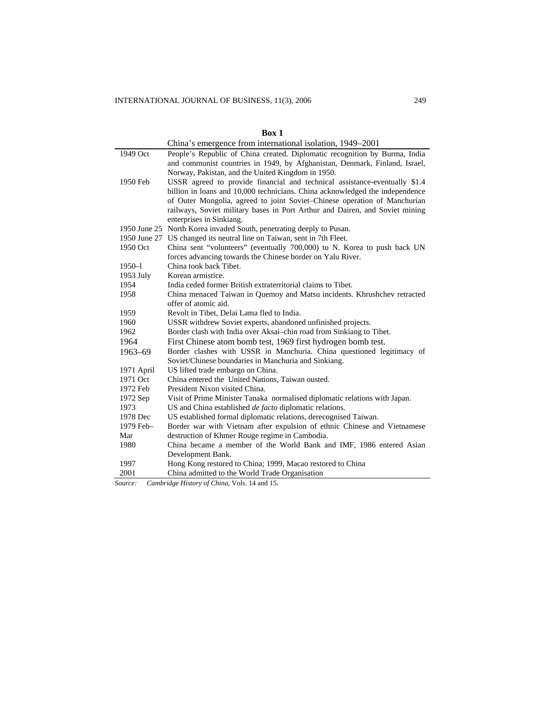**Box 1**  China's emergence from international isolation, 1949–2001 1949 Oct People's Republic of China created. Diplomatic recognition by Burma, India and communist countries in 1949, by Afghanistan, Denmark, Finland, Israel, Norway, Pakistan, and the United Kingdom in 1950. 1950 Feb USSR agreed to provide financial and technical assistance-eventually \$1.4 billion in loans and 10,000 technicians. China acknowledged the independence of Outer Mongolia, agreed to joint Soviet–Chinese operation of Manchurian railways, Soviet military bases in Port Arthur and Dairen, and Soviet mining enterprises in Sinkiang. 1950 June 25 North Korea invaded South, penetrating deeply to Pusan. 1950 June 27 US changed its neutral line on Taiwan, sent in 7th Fleet. 1950 Oct China sent "volunteers" (eventually 700,000) to N. Korea to push back UN forces advancing towards the Chinese border on Yalu River. 1950–l China took back Tibet. 1953 July Korean armistice. 1954 India ceded former British extraterritorial claims to Tibet. 1958 China menaced Taiwan in Quemoy and Matsu incidents. Khrushchev retracted offer of atomic aid. 1959 Revolt in Tibet, Delai Lama fled to India. 1960 USSR withdrew Soviet experts, abandoned unfinished projects. 1962 Border clash with India over Aksai–chin road from Sinkiang to Tibet. 1964 First Chinese atom bomb test, 1969 first hydrogen bomb test. 1963–69 Border clashes with USSR in Manchuria. China questioned legitimacy of Soviet/Chinese boundaries in Manchuria and Sinkiang. 1971 April US lifted trade embargo on China. 1971 Oct China entered the United Nations, Taiwan ousted. 1972 Feb President Nixon visited China. 1972 Sep Visit of Prime Minister Tanaka normalised diplomatic relations with Japan. 1973 US and China established *de facto* diplomatic relations. 1978 Dec US established formal diplomatic relations, derecognised Taiwan. 1979 Feb– Mar Border war with Vietnam after expulsion of ethnic Chinese and Vietnamese destruction of Khmer Rouge regime in Cambodia. 1980 China became a member of the World Bank and IMF, 1986 entered Asian Development Bank. 1997 Hong Kong restored to China; 1999, Macao restored to China 2001 China admitted to the World Trade Organisation *Source: Cambridge History of China,* Vols. 14 and 15.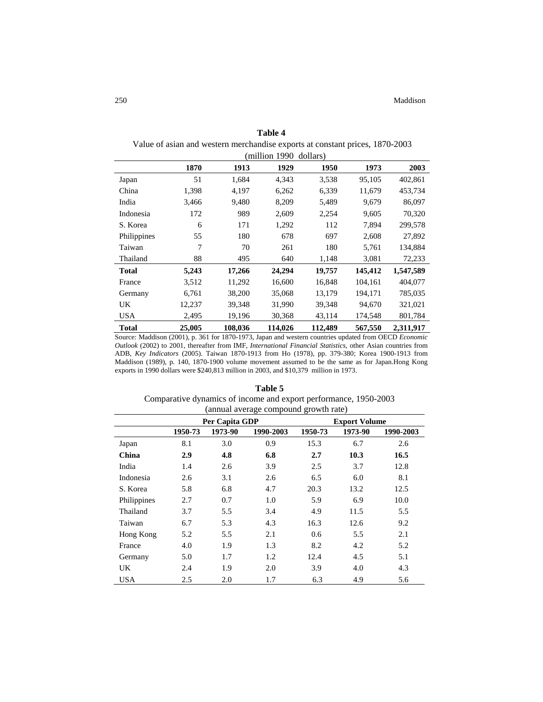|             |        |         | million 1990) | dollars) |         |           |
|-------------|--------|---------|---------------|----------|---------|-----------|
|             | 1870   | 1913    | 1929          | 1950     | 1973    | 2003      |
| Japan       | 51     | 1,684   | 4,343         | 3,538    | 95,105  | 402,861   |
| China       | 1,398  | 4,197   | 6,262         | 6,339    | 11,679  | 453,734   |
| India       | 3,466  | 9,480   | 8,209         | 5,489    | 9,679   | 86,097    |
| Indonesia   | 172    | 989     | 2,609         | 2,254    | 9,605   | 70,320    |
| S. Korea    | 6      | 171     | 1,292         | 112      | 7,894   | 299,578   |
| Philippines | 55     | 180     | 678           | 697      | 2,608   | 27,892    |
| Taiwan      | 7      | 70      | 261           | 180      | 5,761   | 134,884   |
| Thailand    | 88     | 495     | 640           | 1,148    | 3,081   | 72,233    |
| Total       | 5,243  | 17,266  | 24,294        | 19,757   | 145,412 | 1,547,589 |
| France      | 3,512  | 11,292  | 16,600        | 16,848   | 104,161 | 404,077   |
| Germany     | 6,761  | 38,200  | 35,068        | 13,179   | 194,171 | 785,035   |
| UK          | 12,237 | 39,348  | 31,990        | 39,348   | 94,670  | 321,021   |
| USA         | 2,495  | 19,196  | 30,368        | 43,114   | 174,548 | 801,784   |
| Total       | 25,005 | 108,036 | 114,026       | 112,489  | 567,550 | 2,311,917 |

| Table 4                                                                      |
|------------------------------------------------------------------------------|
| Value of asian and western merchandise exports at constant prices, 1870-2003 |
| $(m112cm 1000 dg11cm)$                                                       |

Source: Maddison (2001), p. 361 for 1870-1973, Japan and western countries updated from OECD *Economic Outlook* (2002) to 2001, thereafter from IMF, *International Financial Statistics*, other Asian countries from ADB, *Key Indicators* (2005). Taiwan 1870-1913 from Ho (1978), pp. 379-380; Korea 1900-1913 from Maddison (1989), p. 140, 1870-1900 volume movement assumed to be the same as for Japan.Hong Kong exports in 1990 dollars were \$240,813 million in 2003, and \$10,379 million in 1973.

| (annual average compound growth rate) |                |         |           |                      |         |           |  |  |
|---------------------------------------|----------------|---------|-----------|----------------------|---------|-----------|--|--|
|                                       | Per Capita GDP |         |           | <b>Export Volume</b> |         |           |  |  |
|                                       | 1950-73        | 1973-90 | 1990-2003 | 1950-73              | 1973-90 | 1990-2003 |  |  |
| Japan                                 | 8.1            | 3.0     | 0.9       | 15.3                 | 6.7     | 2.6       |  |  |
| <b>China</b>                          | 2.9            | 4.8     | 6.8       | 2.7                  | 10.3    | 16.5      |  |  |
| India                                 | 1.4            | 2.6     | 3.9       | 2.5                  | 3.7     | 12.8      |  |  |
| Indonesia                             | 2.6            | 3.1     | 2.6       | 6.5                  | 6.0     | 8.1       |  |  |
| S. Korea                              | 5.8            | 6.8     | 4.7       | 20.3                 | 13.2    | 12.5      |  |  |
| Philippines                           | 2.7            | 0.7     | 1.0       | 5.9                  | 6.9     | 10.0      |  |  |
| Thailand                              | 3.7            | 5.5     | 3.4       | 4.9                  | 11.5    | 5.5       |  |  |
| Taiwan                                | 6.7            | 5.3     | 4.3       | 16.3                 | 12.6    | 9.2       |  |  |
| Hong Kong                             | 5.2            | 5.5     | 2.1       | 0.6                  | 5.5     | 2.1       |  |  |
| France                                | 4.0            | 1.9     | 1.3       | 8.2                  | 4.2     | 5.2       |  |  |
| Germany                               | 5.0            | 1.7     | 1.2       | 12.4                 | 4.5     | 5.1       |  |  |
| <b>UK</b>                             | 2.4            | 1.9     | 2.0       | 3.9                  | 4.0     | 4.3       |  |  |
| <b>USA</b>                            | 2.5            | 2.0     | 1.7       | 6.3                  | 4.9     | 5.6       |  |  |

#### **Table 5**

# Comparative dynamics of income and export performance, 1950-2003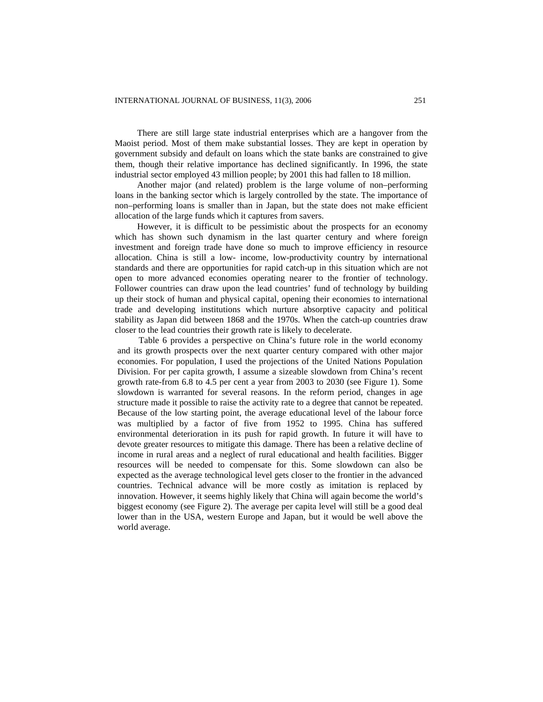There are still large state industrial enterprises which are a hangover from the Maoist period. Most of them make substantial losses. They are kept in operation by government subsidy and default on loans which the state banks are constrained to give them, though their relative importance has declined significantly. In 1996, the state industrial sector employed 43 million people; by 2001 this had fallen to 18 million.

Another major (and related) problem is the large volume of non–performing loans in the banking sector which is largely controlled by the state. The importance of non–performing loans is smaller than in Japan, but the state does not make efficient allocation of the large funds which it captures from savers.

However, it is difficult to be pessimistic about the prospects for an economy which has shown such dynamism in the last quarter century and where foreign investment and foreign trade have done so much to improve efficiency in resource allocation. China is still a low- income, low-productivity country by international standards and there are opportunities for rapid catch-up in this situation which are not open to more advanced economies operating nearer to the frontier of technology. Follower countries can draw upon the lead countries' fund of technology by building up their stock of human and physical capital, opening their economies to international trade and developing institutions which nurture absorptive capacity and political stability as Japan did between 1868 and the 1970s. When the catch-up countries draw closer to the lead countries their growth rate is likely to decelerate.

Table 6 provides a perspective on China's future role in the world economy and its growth prospects over the next quarter century compared with other major economies. For population, I used the projections of the United Nations Population Division. For per capita growth, I assume a sizeable slowdown from China's recent growth rate-from 6.8 to 4.5 per cent a year from 2003 to 2030 (see Figure 1). Some slowdown is warranted for several reasons. In the reform period, changes in age structure made it possible to raise the activity rate to a degree that cannot be repeated. Because of the low starting point, the average educational level of the labour force was multiplied by a factor of five from 1952 to 1995. China has suffered environmental deterioration in its push for rapid growth. In future it will have to devote greater resources to mitigate this damage. There has been a relative decline of income in rural areas and a neglect of rural educational and health facilities. Bigger resources will be needed to compensate for this. Some slowdown can also be expected as the average technological level gets closer to the frontier in the advanced countries. Technical advance will be more costly as imitation is replaced by innovation. However, it seems highly likely that China will again become the world's biggest economy (see Figure 2). The average per capita level will still be a good deal lower than in the USA, western Europe and Japan, but it would be well above the world average.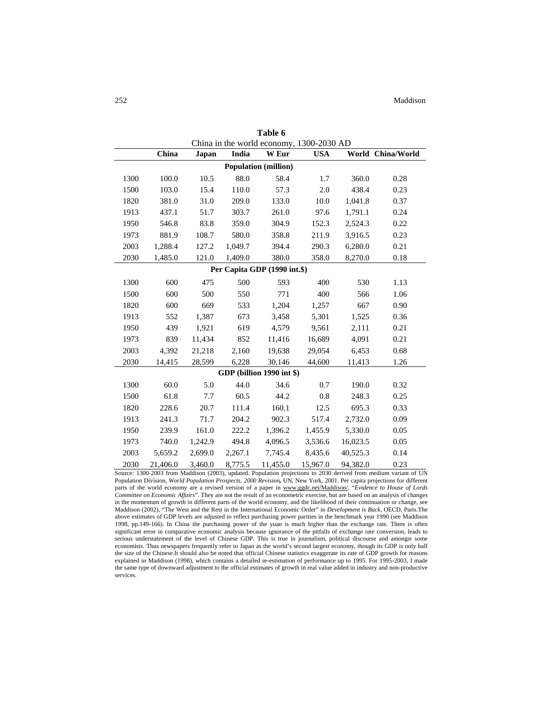| China in the world economy, 1300-2030 AD |          |         |         |          |            |          |                   |  |
|------------------------------------------|----------|---------|---------|----------|------------|----------|-------------------|--|
|                                          | China    | Japan   | India   | W Eur    | <b>USA</b> |          | World China/World |  |
| <b>Population (million)</b>              |          |         |         |          |            |          |                   |  |
| 1300                                     | 100.0    | 10.5    | 88.0    | 58.4     | 1.7        | 360.0    | 0.28              |  |
| 1500                                     | 103.0    | 15.4    | 110.0   | 57.3     | 2.0        | 438.4    | 0.23              |  |
| 1820                                     | 381.0    | 31.0    | 209.0   | 133.0    | 10.0       | 1,041.8  | 0.37              |  |
| 1913                                     | 437.1    | 51.7    | 303.7   | 261.0    | 97.6       | 1,791.1  | 0.24              |  |
| 1950                                     | 546.8    | 83.8    | 359.0   | 304.9    | 152.3      | 2,524.3  | 0.22              |  |
| 1973                                     | 881.9    | 108.7   | 580.0   | 358.8    | 211.9      | 3,916.5  | 0.23              |  |
| 2003                                     | 1,288.4  | 127.2   | 1,049.7 | 394.4    | 290.3      | 6,280.0  | 0.21              |  |
| 2030                                     | 1,485.0  | 121.0   | 1,409.0 | 380.0    | 358.0      | 8,270.0  | 0.18              |  |
| Per Capita GDP (1990 int.\$)             |          |         |         |          |            |          |                   |  |
| 1300                                     | 600      | 475     | 500     | 593      | 400        | 530      | 1.13              |  |
| 1500                                     | 600      | 500     | 550     | 771      | 400        | 566      | 1.06              |  |
| 1820                                     | 600      | 669     | 533     | 1,204    | 1,257      | 667      | 0.90              |  |
| 1913                                     | 552      | 1,387   | 673     | 3,458    | 5,301      | 1,525    | 0.36              |  |
| 1950                                     | 439      | 1,921   | 619     | 4,579    | 9,561      | 2,111    | 0.21              |  |
| 1973                                     | 839      | 11,434  | 852     | 11,416   | 16,689     | 4,091    | 0.21              |  |
| 2003                                     | 4,392    | 21,218  | 2,160   | 19,638   | 29,054     | 6,453    | 0.68              |  |
| 2030                                     | 14,415   | 28,599  | 6,228   | 30,146   | 44,600     | 11,413   | 1.26              |  |
| GDP (billion 1990 int \$)                |          |         |         |          |            |          |                   |  |
| 1300                                     | 60.0     | 5.0     | 44.0    | 34.6     | 0.7        | 190.0    | 0.32              |  |
| 1500                                     | 61.8     | 7.7     | 60.5    | 44.2     | 0.8        | 248.3    | 0.25              |  |
| 1820                                     | 228.6    | 20.7    | 111.4   | 160.1    | 12.5       | 695.3    | 0.33              |  |
| 1913                                     | 241.3    | 71.7    | 204.2   | 902.3    | 517.4      | 2,732.0  | 0.09              |  |
| 1950                                     | 239.9    | 161.0   | 222.2   | 1,396.2  | 1,455.9    | 5,330.0  | 0.05              |  |
| 1973                                     | 740.0    | 1,242.9 | 494.8   | 4,096.5  | 3,536.6    | 16,023.5 | 0.05              |  |
| 2003                                     | 5,659.2  | 2,699.0 | 2,267.1 | 7,745.4  | 8,435.6    | 40,525.3 | 0.14              |  |
| 2030                                     | 21,406.0 | 3,460.0 | 8,775.5 | 11,455.0 | 15,967.0   | 94,382.0 | 0.23              |  |

**Table 6** 

Source: 1300-2003 from Maddison (2003), updated. Population projections to 2030 derived from medium variant of UN Population Division, *World Population Prospects, 2000 Revision,* UN, New York, 2001. Per capita projections for different parts of the world economy are a revised version of a paper in [www.ggdc.net/Maddison/,](http://www.eco.rug.nl/Maddison/) "*Evidence to House of Lords Committee on Economic Affairs*". They are not the result of an econometric exercise, but are based on an analysis of changes in the momentum of growth in different parts of the world economy, and the likelihood of their continuation or change, see Maddison (2002), "The West and the Rest in the International Economic Order" in *Development is Back*, OECD, Paris.The above estimates of GDP levels are adjusted to reflect purchasing power parities in the benchmark year 1990 (see Maddison 1998, pp.149-166). In China the purchasing power of the yuan is much higher than the exchange rate. There is often significant error in comparative economic analysis because ignorance of the pitfalls of exchange rate conversion, leads to serious understatement of the level of Chinese GDP. This is true in journalism, political discourse and amongst some economists. Thus newspapers frequently refer to Japan as the world's second largest economy, though its GDP is only half the size of the Chinese.It should also be noted that official Chinese statistics exaggerate its rate of GDP growth for reasons explained in Maddison (1998), which contains a detailed re-estimation of performance up to 1995. For 1995-2003, I made the same type of downward adjustment to the official estimates of growth in real value added in industry and non-productive services.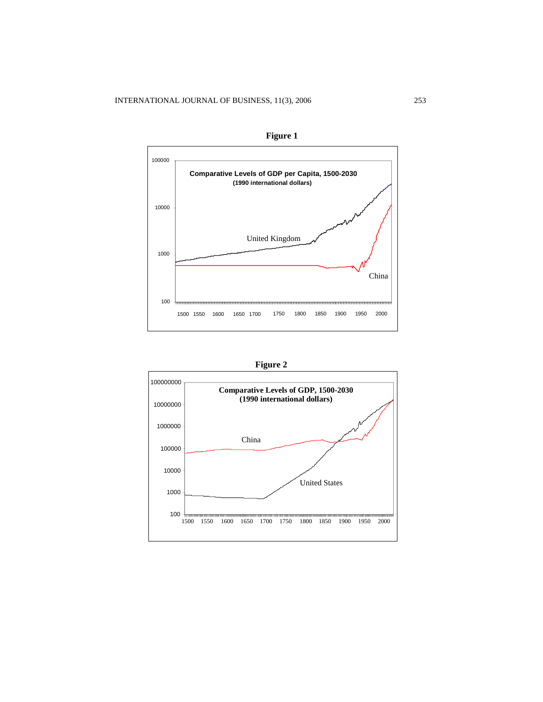